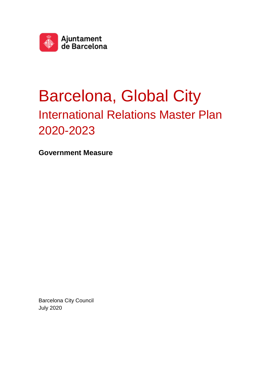

# Barcelona, Global City International Relations Master Plan 2020-2023

**Government Measure**

Barcelona City Council July 2020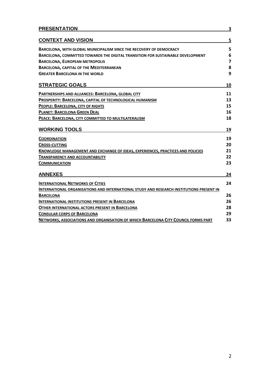| <b>PRESENTATION</b>                                                                      | 3              |
|------------------------------------------------------------------------------------------|----------------|
| <b>CONTEXT AND VISION</b>                                                                | 5              |
| <b>BARCELONA, WITH GLOBAL MUNICIPALISM SINCE THE RECOVERY OF DEMOCRACY</b>               | 5              |
| BARCELONA, COMMITTED TOWARDS THE DIGITAL TRANSITION FOR SUSTAINABLE DEVELOPMENT          | 6              |
| <b>BARCELONA, EUROPEAN METROPOLIS</b>                                                    | $\overline{7}$ |
| <b>BARCELONA, CAPITAL OF THE MEDITERRANEAN</b>                                           | 8              |
| <b>GREATER BARCELONA IN THE WORLD</b>                                                    | 9              |
| <b>STRATEGIC GOALS</b>                                                                   | 10             |
| PARTNERSHIPS AND ALLIANCES: BARCELONA, GLOBAL CITY                                       | 11             |
| PROSPERITY: BARCELONA, CAPITAL OF TECHNOLOGICAL HUMANISM                                 | 13             |
| PEOPLE: BARCELONA, CITY OF RIGHTS                                                        | 15             |
| <b>PLANET: BARCELONA GREEN DEAL</b>                                                      | 16             |
| PEACE: BARCELONA, CITY COMMITTED TO MULTILATERALISM                                      | 18             |
| <b>WORKING TOOLS</b>                                                                     | 19             |
| <b>COORDINATION</b>                                                                      | 19             |
| <b>CROSS-CUTTING</b>                                                                     | 20             |
| KNOWLEDGE MANAGEMENT AND EXCHANGE OF IDEAS, EXPERIENCES, PRACTICES AND POLICIES          | 21             |
| <b>TRANSPARENCY AND ACCOUNTABILITY</b>                                                   | 22             |
| <b>COMMUNICATION</b>                                                                     | 23             |
| <b>ANNEXES</b>                                                                           | 24             |
| <b>INTERNATIONAL NETWORKS OF CITIES</b>                                                  | 24             |
| INTERNATIONAL ORGANISATIONS AND INTERNATIONAL STUDY AND RESEARCH INSTITUTIONS PRESENT IN |                |
| <b>BARCELONA</b>                                                                         | 26             |
| <b>INTERNATIONAL INSTITUTIONS PRESENT IN BARCELONA</b>                                   | 26             |
| <b>OTHER INTERNATIONAL ACTORS PRESENT IN BARCELONA</b>                                   | 28             |
| <b>CONSULAR CORPS OF BARCELONA</b>                                                       | 29             |
| NETWORKS, ASSOCIATIONS AND ORGANISATION OF WHICH BARCELONA CITY COUNCIL FORMS PART       | 33             |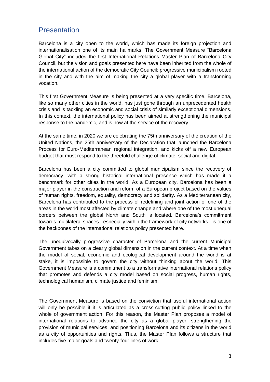# **Presentation**

Barcelona is a city open to the world, which has made its foreign projection and internationalisation one of its main hallmarks. The Government Measure "Barcelona Global City" includes the first International Relations Master Plan of Barcelona City Council, but the vision and goals presented here have been inherited from the whole of the international action of the democratic City Council: progressive municipalism rooted in the city and with the aim of making the city a global player with a transforming vocation.

This first Government Measure is being presented at a very specific time. Barcelona, like so many other cities in the world, has just gone through an unprecedented health crisis and is tackling an economic and social crisis of similarly exceptional dimensions. In this context, the international policy has been aimed at strengthening the municipal response to the pandemic, and is now at the service of the recovery.

At the same time, in 2020 we are celebrating the 75th anniversary of the creation of the United Nations, the 25th anniversary of the Declaration that launched the Barcelona Process for Euro-Mediterranean regional integration, and kicks off a new European budget that must respond to the threefold challenge of climate, social and digital.

Barcelona has been a city committed to global municipalism since the recovery of democracy, with a strong historical international presence which has made it a benchmark for other cities in the world. As a European city, Barcelona has been a major player in the construction and reform of a European project based on the values of human rights, freedom, equality, democracy and solidarity. As a Mediterranean city, Barcelona has contributed to the process of redefining and joint action of one of the areas in the world most affected by climate change and where one of the most unequal borders between the global North and South is located. Barcelona's commitment towards multilateral spaces - especially within the framework of city networks - is one of the backbones of the international relations policy presented here.

The unequivocally progressive character of Barcelona and the current Municipal Government takes on a clearly global dimension in the current context. At a time when the model of social, economic and ecological development around the world is at stake, it is impossible to govern the city without thinking about the world. This Government Measure is a commitment to a transformative international relations policy that promotes and defends a city model based on social progress, human rights, technological humanism, climate justice and feminism.

The Government Measure is based on the conviction that useful international action will only be possible if it is articulated as a cross-cutting public policy linked to the whole of government action. For this reason, the Master Plan proposes a model of international relations to advance the city as a global player, strengthening the provision of municipal services, and positioning Barcelona and its citizens in the world as a city of opportunities and rights. Thus, the Master Plan follows a structure that includes five major goals and twenty-four lines of work.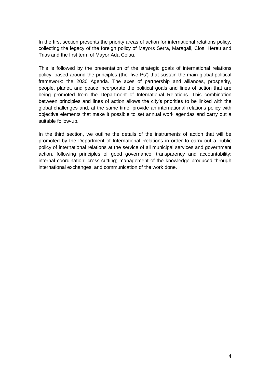In the first section presents the priority areas of action for international relations policy, collecting the legacy of the foreign policy of Mayors Serra, Maragall, Clos, Hereu and Trias and the first term of Mayor Ada Colau.

.

This is followed by the presentation of the strategic goals of international relations policy, based around the principles (the 'five Ps') that sustain the main global political framework: the 2030 Agenda. The axes of partnership and alliances, prosperity, people, planet, and peace incorporate the political goals and lines of action that are being promoted from the Department of International Relations. This combination between principles and lines of action allows the city's priorities to be linked with the global challenges and, at the same time, provide an international relations policy with objective elements that make it possible to set annual work agendas and carry out a suitable follow-up.

In the third section, we outline the details of the instruments of action that will be promoted by the Department of International Relations in order to carry out a public policy of international relations at the service of all municipal services and government action, following principles of good governance: transparency and accountability; internal coordination; cross-cutting; management of the knowledge produced through international exchanges, and communication of the work done.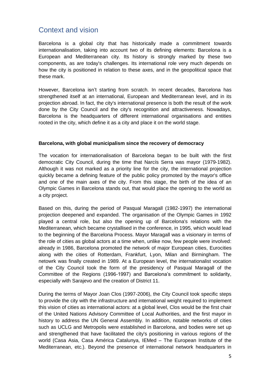# Context and vision

Barcelona is a global city that has historically made a commitment towards internationalisation, taking into account two of its defining elements: Barcelona is a European and Mediterranean city. Its history is strongly marked by these two components, as are today's challenges. Its international role very much depends on how the city is positioned in relation to these axes, and in the geopolitical space that these mark.

However, Barcelona isn't starting from scratch. In recent decades, Barcelona has strengthened itself at an international, European and Mediterranean level, and in its projection abroad. In fact, the city's international presence is both the result of the work done by the City Council and the city's recognition and attractiveness. Nowadays, Barcelona is the headquarters of different international organisations and entities rooted in the city, which define it as a city and place it on the world stage.

#### **Barcelona, with global municipalism since the recovery of democracy**

The vocation for internationalisation of Barcelona began to be built with the first democratic City Council, during the time that Narcís Serra was mayor (1979-1982). Although it was not marked as a priority line for the city, the international projection quickly became a defining feature of the public policy promoted by the mayor's office and one of the main axes of the city. From this stage, the birth of the idea of an Olympic Games in Barcelona stands out, that would place the opening to the world as a city project.

Based on this, during the period of Pasqual Maragall (1982-1997) the international projection deepened and expanded. The organisation of the Olympic Games in 1992 played a central role, but also the opening up of Barcelona's relations with the Mediterranean, which became crystallised in the conference, in 1995, which would lead to the beginning of the Barcelona Process. Mayor Maragall was a visionary in terms of the role of cities as global actors at a time when, unlike now, few people were involved: already in 1986, Barcelona promoted the network of major European cities, Eurocities along with the cities of Rotterdam, Frankfurt, Lyon, Milan and Birmingham. The netowrk was finally created in 1989. At a European level, the internationalist vocation of the City Council took the form of the presidency of Pasqual Maragall of the Committee of the Regions (1996-1997) and Barcelona's commitment to solidarity, especially with Sarajevo and the creation of District 11.

During the terms of Mayor Joan Clos (1997-2006), the City Council took specific steps to provide the city with the infrastructure and international weight required to implement this vision of cities as international actors: at a global level, Clos would be the first chair of the United Nations Advisory Committee of Local Authorities, and the first mayor in history to address the UN General Assembly. In addition, notable networks of cities such as UCLG and Metropolis were established in Barcelona, and bodies were set up and strengthened that have facilitated the city's positioning in various regions of the world (Casa Asia, Casa América Catalunya, IEMed – The European Institute of the Mediterranean, etc.). Beyond the presence of international network headquarters in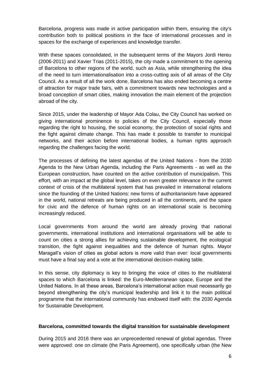Barcelona, progress was made in active participation within them, ensuring the city's contribution both to political positions in the face of international processes and in spaces for the exchange of experiences and knowledge transfer.

With these spaces consolidated, in the subsequent terms of the Mayors Jordi Hereu (2006-2011) and Xavier Trias (2011-2015), the city made a commitment to the opening of Barcelona to other regions of the world, such as Asia, while strengthening the idea of the need to turn internationalisation into a cross-cutting axis of all areas of the City Council. As a result of all the work done, Barcelona has also ended becoming a centre of attraction for major trade fairs, with a commitment towards new technologies and a broad conception of smart cities, making innovation the main element of the projection abroad of the city.

Since 2015, under the leadership of Mayor Ada Colau, the City Council has worked on giving international prominence to policies of the City Council, especially those regarding the right to housing, the social economy, the protection of social rights and the fight against climate change. This has made it possible to transfer to municipal networks, and their action before international bodies, a human rights approach regarding the challenges facing the world.

The processes of defining the latest agendas of the United Nations - from the 2030 Agenda to the New Urban Agenda, including the Paris Agreements - as well as the European construction, have counted on the active contribution of municipalism. This effort, with an impact at the global level, takes on even greater relevance in the current context of crisis of the multilateral system that has prevailed in international relations since the founding of the United Nations: new forms of authoritarianism have appeared in the world, national retreats are being produced in all the continents, and the space for civic and the defence of human rights on an international scale is becoming increasingly reduced.

Local governments from around the world are already proving that national governments, international institutions and international organisations will be able to count on cities a strong allies for achieving sustainable development, the ecological transition, the fight against inequalities and the defence of human rights. Mayor Maragall's vision of cities as global actors is more valid than ever: local governments must have a final say and a vote at the international decision-making table.

In this sense, city diplomacy is key to bringing the voice of cities to the multilateral spaces to which Barcelona is linked: the Euro-Mediterranean space, Europe and the United Nations. In all these areas, Barcelona's international action must necessarily go beyond strengthening the city's municipal leadership and link it to the main political programme that the international community has endowed itself with: the 2030 Agenda for Sustainable Development.

#### **Barcelona, committed towards the digital transition for sustainable development**

During 2015 and 2016 there was an unprecedented renewal of global agendas. Three were approved: one on climate (the Paris Agreement), one specifically urban (the New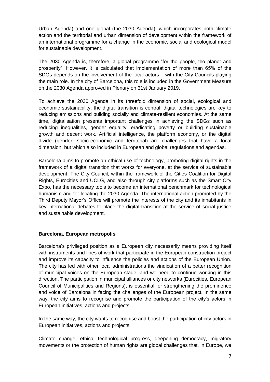Urban Agenda) and one global (the 2030 Agenda), which incorporates both climate action and the territorial and urban dimension of development within the framework of an international programme for a change in the economic, social and ecological model for sustainable development.

The 2030 Agenda is, therefore, a global programme "for the people, the planet and prosperity". However, it is calculated that implementation of more than 65% of the SDGs depends on the involvement of the local actors – with the City Councils playing the main role. In the city of Barcelona, this role is included in the Government Measure on the 2030 Agenda approved in Plenary on 31st January 2019.

To achieve the 2030 Agenda in its threefold dimension of social, ecological and economic sustainability, the digital transition is central: digital technologies are key to reducing emissions and building socially and climate-resilient economies. At the same time, digitalisation presents important challenges in achieving the SDGs such as reducing inequalities, gender equality, eradicating poverty or building sustainable growth and decent work. Artificial intelligence, the platform economy, or the digital divide (gender, socio-economic and territorial) are challenges that have a local dimension, but which also included in European and global regulations and agendas.

Barcelona aims to promote an ethical use of technology, promoting digital rights in the framework of a digital transition that works for everyone, at the service of sustainable development. The City Council, within the framework of the Cities Coalition for Digital Rights, Eurocities and UCLG, and also through city platforms such as the Smart City Expo, has the necessary tools to become an international benchmark for technological humanism and for locating the 2030 Agenda. The international action promoted by the Third Deputy Mayor's Office will promote the interests of the city and its inhabitants in key international debates to place the digital transition at the service of social justice and sustainable development.

#### **Barcelona, European metropolis**

Barcelona's privileged position as a European city necessarily means providing itself with instruments and lines of work that participate in the European construction project and improve its capacity to influence the policies and actions of the European Union. The city has led with other local administrations the vindication of a better recognition of municipal voices on the European stage, and we need to continue working in this direction. The participation in municipal alliances or city networks (Eurocities, European Council of Municipalities and Regions), is essential for strengthening the prominence and voice of Barcelona in facing the challenges of the European project. In the same way, the city aims to recognise and promote the participation of the city's actors in European initiatives, actions and projects.

In the same way, the city wants to recognise and boost the participation of city actors in European initiatives, actions and projects.

Climate change, ethical technological progress, deepening democracy, migratory movements or the protection of human rights are global challenges that, in Europe, we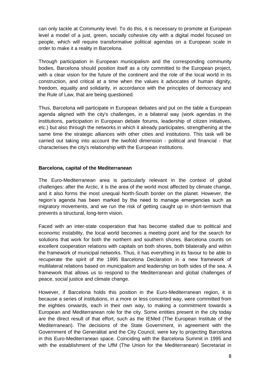can only tackle at Community level. To do this, it is necessary to promote at European level a model of a just, green, socially cohesive city with a digital model focused on people, which will require transformative political agendas on a European scale in order to make it a reality in Barcelona.

Through participation in European municipalism and the corresponding community bodies, Barcelona should position itself as a city committed to the European project, with a clear vision for the future of the continent and the role of the local world in its construction, and critical at a time when the values it advocates of human dignity, freedom, equality and solidarity, in accordance with the principles of democracy and the Rule of Law, that are being questioned.

Thus, Barcelona will participate in European debates and put on the table a European agenda aligned with the city's challenges, in a bilateral way (work agendas in the institutions, participation in European debate forums, leadership of citizen initiatives, etc.) but also through the networks in which it already participates, strengthening at the same time the strategic alliances with other cities and institutions. This task will be carried out taking into account the twofold dimension - political and financial - that characterises the city's relationship with the European institutions.

# **Barcelona, capital of the Mediterranean**

The Euro-Mediterranean area is particularly relevant in the context of global challenges: after the Arctic, it is the area of the world most affected by climate change, and it also forms the most unequal North-South border on the planet. However, the region's agenda has been marked by the need to manage emergencies such as migratory movements, and we run the risk of getting caught up in short-termism that prevents a structural, long-term vision.

Faced with an inter-state cooperation that has become stalled due to political and economic instability, the local world becomes a meeting point and for the search for solutions that work for both the northern and southern shores. Barcelona counts on excellent cooperation relations with capitals on both shores, both bilaterally and within the framework of municipal networks. Thus, it has everything in its favour to be able to recuperate the spirit of the 1995 Barcelona Declaration in a new framework of multilateral relations based on municipalism and leadership on both sides of the sea. A framework that allows us to respond to the Mediterranean and global challenges of peace, social justice and climate change.

However, if Barcelona holds this position in the Euro-Mediterranean region, it is because a series of institutions, in a more or less concerted way, were committed from the eighties onwards, each in their own way, to making a commitment towards a European and Mediterranean role for the city. Some entities present in the city today are the direct result of that effort, such as the IEMed (The European Institute of the Mediterranean). The decisions of the State Government, in agreement with the Government of the Generalitat and the City Council, were key to projecting Barcelona in this Euro-Mediterranean space. Coinciding with the Barcelona Summit in 1995 and with the establishment of the UfM (The Union for the Mediterranean) Secretariat in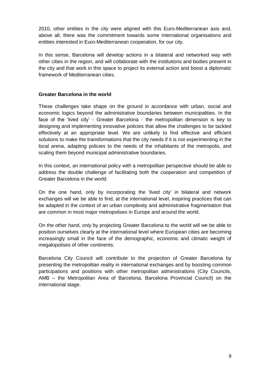2010, other entities in the city were aligned with this Euro-Mediterranean axis and, above all, there was the commitment towards some international organisations and entities interested in Euro-Mediterranean cooperation, for our city.

In this sense, Barcelona will develop actions in a bilateral and networked way with other cities in the region, and will collaborate with the institutions and bodies present in the city and that work in this space to project its external action and boost a diplomatic framework of Mediterranean cities.

# **Greater Barcelona in the world**

These challenges take shape on the ground in accordance with urban, social and economic logics beyond the administrative boundaries between municipalities. In the face of the 'lived city' - Greater Barcelona - the metropolitan dimension is key to designing and implementing innovative policies that allow the challenges to be tackled effectively at an appropriate level. We are unlikely to find effective and efficient solutions to make the transformations that the city needs if it is not experimenting in the local arena, adapting policies to the needs of the inhabitants of the metropolis, and scaling them beyond municipal administrative boundaries.

In this context, an international policy with a metropolitan perspective should be able to address the double challenge of facilitating both the cooperation and competition of Greater Barcelona in the world.

On the one hand, only by incorporating the 'lived city' in bilateral and network exchanges will we be able to find, at the international level, inspiring practices that can be adapted in the context of an urban complexity and administrative fragmentation that are common in most major metropolises in Europe and around the world.

On the other hand, only by projecting Greater Barcelona to the world will we be able to position ourselves clearly at the international level where European cities are becoming increasingly small in the face of the demographic, economic and climatic weight of megalopolises of other continents.

Barcelona City Council will contribute to the projection of Greater Barcelona by presenting the metropolitan reality in international exchanges and by boosting common participations and positions with other metropolitan administrations (City Councils, AMB – the Metropolitan Area of Barcelona, Barcelona Provincial Council) on the international stage.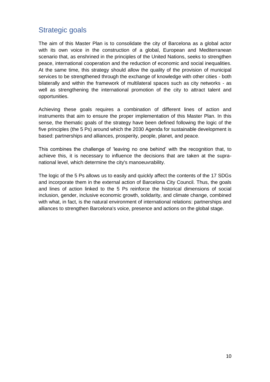# Strategic goals

The aim of this Master Plan is to consolidate the city of Barcelona as a global actor with its own voice in the construction of a global, European and Mediterranean scenario that, as enshrined in the principles of the United Nations, seeks to strengthen peace, international cooperation and the reduction of economic and social inequalities. At the same time, this strategy should allow the quality of the provision of municipal services to be strengthened through the exchange of knowledge with other cities - both bilaterally and within the framework of multilateral spaces such as city networks - as well as strengthening the international promotion of the city to attract talent and opportunities.

Achieving these goals requires a combination of different lines of action and instruments that aim to ensure the proper implementation of this Master Plan. In this sense, the thematic goals of the strategy have been defined following the logic of the five principles (the 5 Ps) around which the 2030 Agenda for sustainable development is based: partnerships and alliances, prosperity, people, planet, and peace.

This combines the challenge of 'leaving no one behind' with the recognition that, to achieve this, it is necessary to influence the decisions that are taken at the supranational level, which determine the city's manoeuvrability.

The logic of the 5 Ps allows us to easily and quickly affect the contents of the 17 SDGs and incorporate them in the external action of Barcelona City Council. Thus, the goals and lines of action linked to the 5 Ps reinforce the historical dimensions of social inclusion, gender, inclusive economic growth, solidarity, and climate change, combined with what, in fact, is the natural environment of international relations: partnerships and alliances to strengthen Barcelona's voice, presence and actions on the global stage.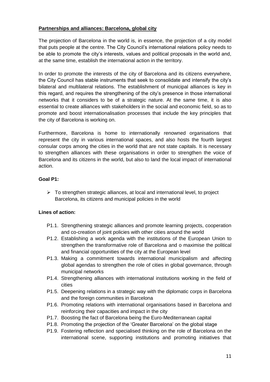# **Partnerships and alliances: Barcelona, global city**

The projection of Barcelona in the world is, in essence, the projection of a city model that puts people at the centre. The City Council's international relations policy needs to be able to promote the city's interests, values and political proposals in the world and, at the same time, establish the international action in the territory.

In order to promote the interests of the city of Barcelona and its citizens everywhere, the City Council has stable instruments that seek to consolidate and intensify the city's bilateral and multilateral relations. The establishment of municipal alliances is key in this regard, and requires the strengthening of the city's presence in those international networks that it considers to be of a strategic nature. At the same time, it is also essential to create alliances with stakeholders in the social and economic field, so as to promote and boost internationalisation processes that include the key principles that the city of Barcelona is working on.

Furthermore, Barcelona is home to internationally renowned organisations that represent the city in various international spaces, and also hosts the fourth largest consular corps among the cities in the world that are not state capitals. It is necessary to strengthen alliances with these organisations in order to strengthen the voice of Barcelona and its citizens in the world, but also to land the local impact of international action.

# **Goal P1:**

 $\triangleright$  To strengthen strategic alliances, at local and international level, to project Barcelona, its citizens and municipal policies in the world

# **Lines of action:**

- P1.1. Strengthening strategic alliances and promote learning projects, cooperation and co-creation of joint policies with other cities around the world
- P1.2. Establishing a work agenda with the institutions of the European Union to strengthen the transformative role of Barcelona and o maximise the political and financial opportunities of the city at the European level
- P1.3. Making a commitment towards international municipalism and affecting global agendas to strengthen the role of cities in global governance, through municipal networks
- P1.4. Strengthening alliances with international institutions working in the field of cities
- P1.5. Deepening relations in a strategic way with the diplomatic corps in Barcelona and the foreign communities in Barcelona
- P1.6. Promoting relations with international organisations based in Barcelona and reinforcing their capacities and impact in the city
- P1.7. Boosting the fact of Barcelona being the Euro-Mediterranean capital
- P1.8. Promoting the projection of the 'Greater Barcelona' on the global stage
- P1.9. Fostering reflection and specialised thinking on the role of Barcelona on the international scene, supporting institutions and promoting initiatives that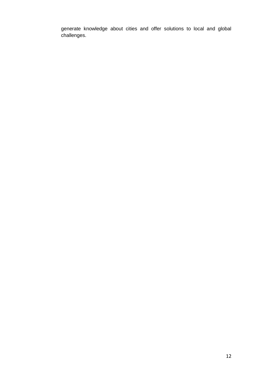generate knowledge about cities and offer solutions to local and global challenges.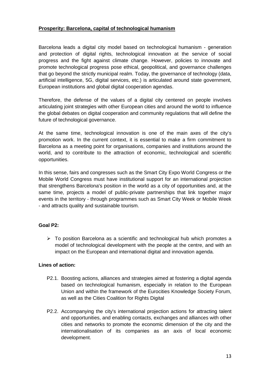# **Prosperity: Barcelona, capital of technological humanism**

Barcelona leads a digital city model based on technological humanism - generation and protection of digital rights, technological innovation at the service of social progress and the fight against climate change. However, policies to innovate and promote technological progress pose ethical, geopolitical, and governance challenges that go beyond the strictly municipal realm. Today, the governance of technology (data, artificial intelligence, 5G, digital services, etc.) is articulated around state government, European institutions and global digital cooperation agendas.

Therefore, the defense of the values of a digital city centered on people involves articulating joint strategies with other European cities and around the world to influence the global debates on digital cooperation and community regulations that will define the future of technological governance.

At the same time, technological innovation is one of the main axes of the city's promotion work. In the current context, it is essential to make a firm commitment to Barcelona as a meeting point for organisations, companies and institutions around the world, and to contribute to the attraction of economic, technological and scientific opportunities.

In this sense, fairs and congresses such as the Smart City Expo World Congress or the Mobile World Congress must have institutional support for an international projection that strengthens Barcelona's position in the world as a city of opportunities and, at the same time, projects a model of public-private partnerships that link together major events in the territory - through programmes such as Smart City Week or Mobile Week - and attracts quality and sustainable tourism.

# **Goal P2:**

 $\triangleright$  To position Barcelona as a scientific and technological hub which promotes a model of technological development with the people at the centre, and with an impact on the European and international digital and innovation agenda.

# **Lines of action:**

- P2.1. Boosting actions, alliances and strategies aimed at fostering a digital agenda based on technological humanism, especially in relation to the European Union and within the framework of the Eurocities Knowledge Society Forum, as well as the Cities Coalition for Rights Digital
- P2.2. Accompanying the city's international projection actions for attracting talent and opportunities, and enabling contacts, exchanges and alliances with other cities and networks to promote the economic dimension of the city and the internationalisation of its companies as an axis of local economic development.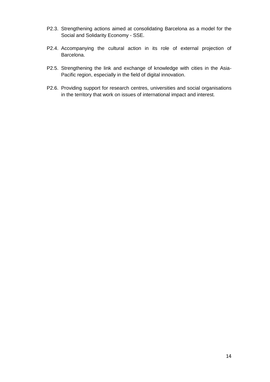- P2.3. Strengthening actions aimed at consolidating Barcelona as a model for the Social and Solidarity Economy - SSE.
- P2.4. Accompanying the cultural action in its role of external projection of Barcelona.
- P2.5. Strengthening the link and exchange of knowledge with cities in the Asia-Pacific region, especially in the field of digital innovation.
- P2.6. Providing support for research centres, universities and social organisations in the territory that work on issues of international impact and interest.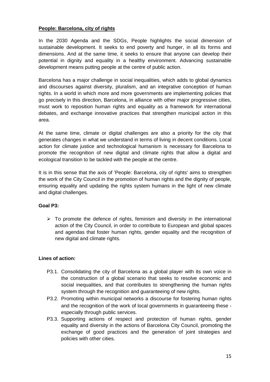# **People: Barcelona, city of rights**

In the 2030 Agenda and the SDGs, People highlights the social dimension of sustainable development. It seeks to end poverty and hunger, in all its forms and dimensions. And at the same time, it seeks to ensure that anyone can develop their potential in dignity and equality in a healthy environment. Advancing sustainable development means putting people at the centre of public action.

Barcelona has a major challenge in social inequalities, which adds to global dynamics and discourses against diversity, pluralism, and an integrative conception of human rights. In a world in which more and more governments are implementing policies that go precisely in this direction, Barcelona, in alliance with other major progressive cities, must work to reposition human rights and equality as a framework for international debates, and exchange innovative practices that strengthen municipal action in this area.

At the same time, climate or digital challenges are also a priority for the city that generates changes in what we understand in terms of living in decent conditions. Local action for climate justice and technological humanism is necessary for Barcelona to promote the recognition of new digital and climate rights that allow a digital and ecological transition to be tackled with the people at the centre.

It is in this sense that the axis of 'People: Barcelona, city of rights' aims to strengthen the work of the City Council in the promotion of human rights and the dignity of people, ensuring equality and updating the rights system humans in the light of new climate and digital challenges.

# **Goal P3:**

 $\triangleright$  To promote the defence of rights, feminism and diversity in the international action of the City Council, in order to contribute to European and global spaces and agendas that foster human rights, gender equality and the recognition of new digital and climate rights.

#### **Lines of action:**

- P3.1. Consolidating the city of Barcelona as a global player with its own voice in the construction of a global scenario that seeks to resolve economic and social inequalities, and that contributes to strengthening the human rights system through the recognition and guaranteeing of new rights.
- P3.2. Promoting within municipal networks a discourse for fostering human rights and the recognition of the work of local governments in guaranteeing these especially through public services.
- P3.3. Supporting actions of respect and protection of human rights, gender equality and diversity in the actions of Barcelona City Council, promoting the exchange of good practices and the generation of joint strategies and policies with other cities.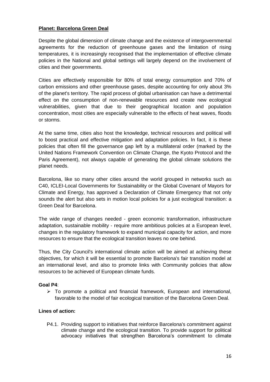# **Planet: Barcelona Green Deal**

Despite the global dimension of climate change and the existence of intergovernmental agreements for the reduction of greenhouse gases and the limitation of rising temperatures, it is increasingly recognised that the implementation of effective climate policies in the National and global settings will largely depend on the involvement of cities and their governments.

Cities are effectively responsible for 80% of total energy consumption and 70% of carbon emissions and other greenhouse gases, despite accounting for only about 3% of the planet's territory. The rapid process of global urbanisation can have a detrimental effect on the consumption of non-renewable resources and create new ecological vulnerabilities, given that due to their geographical location and population concentration, most cities are especially vulnerable to the effects of heat waves, floods or storms.

At the same time, cities also host the knowledge, technical resources and political will to boost practical and effective mitigation and adaptation policies. In fact, it is these policies that often fill the governance gap left by a multilateral order (marked by the United Nations Framework Convention on Climate Change, the Kyoto Protocol and the Paris Agreement), not always capable of generating the global climate solutions the planet needs.

Barcelona, like so many other cities around the world grouped in networks such as C40, ICLEI-Local Governments for Sustainability or the Global Covenant of Mayors for Climate and Energy, has approved a Declaration of Climate Emergency that not only sounds the alert but also sets in motion local policies for a just ecological transition: a Green Deal for Barcelona.

The wide range of changes needed - green economic transformation, infrastructure adaptation, sustainable mobility - require more ambitious policies at a European level, changes in the regulatory framework to expand municipal capacity for action, and more resources to ensure that the ecological transition leaves no one behind.

Thus, the City Council's international climate action will be aimed at achieving these objectives, for which it will be essential to promote Barcelona's fair transition model at an international level, and also to promote links with Community policies that allow resources to be achieved of European climate funds.

# **Goal P4**:

 $\triangleright$  To promote a political and financial framework, European and international, favorable to the model of fair ecological transition of the Barcelona Green Deal.

#### **Lines of action:**

P4.1. Providing support to initiatives that reinforce Barcelona's commitment against climate change and the ecological transition. To provide support for political advocacy initiatives that strengthen Barcelona's commitment to climate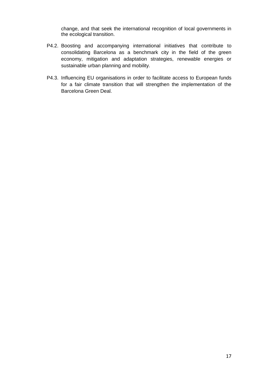change, and that seek the international recognition of local governments in the ecological transition.

- P4.2. Boosting and accompanying international initiatives that contribute to consolidating Barcelona as a benchmark city in the field of the green economy, mitigation and adaptation strategies, renewable energies or sustainable urban planning and mobility.
- P4.3. Influencing EU organisations in order to facilitate access to European funds for a fair climate transition that will strengthen the implementation of the Barcelona Green Deal.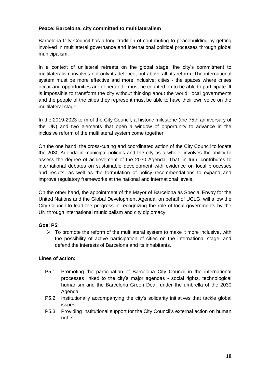# **Peace: Barcelona, city committed to multilateralism**

Barcelona City Council has a long tradition of contributing to peacebuilding by getting involved in multilateral governance and international political processes through global municipalism.

In a context of unilateral retreats on the global stage, the city's commitment to multilateralism involves not only its defence, but above all, its reform. The international system must be more effective and more inclusive: cities - the spaces where crises occur and opportunities are generated - must be counted on to be able to participate. It is impossible to transform the city without thinking about the world: local governments and the people of the cities they represent must be able to have their own voice on the multilateral stage.

In the 2019-2023 term of the City Council, a historic milestone (the 75th anniversary of the UN) and two elements that open a window of opportunity to advance in the inclusive reform of the multilateral system come together.

On the one hand, the cross-cutting and coordinated action of the City Council to locate the 2030 Agenda in municipal policies and the city as a whole, involves the ability to assess the degree of achievement of the 2030 Agenda. That, in turn, contributes to international debates on sustainable development with evidence on local processes and results, as well as the formulation of policy recommendations to expand and improve regulatory frameworks at the national and international levels.

On the other hand, the appointment of the Mayor of Barcelona as Special Envoy for the United Nations and the Global Development Agenda, on behalf of UCLG, will allow the City Council to lead the progress in recognizing the role of local governments by the UN through international municipalism and city diplomacy.

#### **Goal P5:**

 $\triangleright$  To promote the reform of the multilateral system to make it more inclusive, with the possibility of active participation of cities on the international stage, and defend the interests of Barcelona and its inhabitants.

# **Lines of action:**

- P5.1. Promoting the participation of Barcelona City Council in the international processes linked to the city's major agendas - social rights, technological humanism and the Barcelona Green Deal, under the umbrella of the 2030 Agenda.
- P5.2. Institutionally accompanying the city's solidarity initiatives that tackle global issues.
- P5.3. Providing institutional support for the City Council's external action on human rights.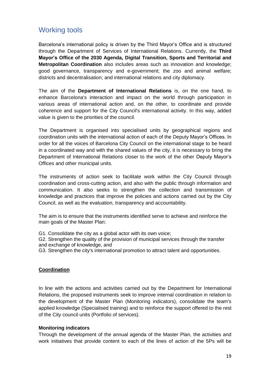# Working tools

Barcelona's international policy is driven by the Third Mayor's Office and is structured through the Department of Services of International Relations. Currently, the **Third Mayor's Office of the 2030 Agenda, Digital Transition, Sports and Territorial and Metropolitan Coordination** also includes areas such as innovation and knowledge; good governance, transparency and e-government; the zoo and animal welfare; districts and decentralisation; and international relations and city diplomacy.

The aim of the **Department of International Relations** is, on the one hand, to enhance Barcelona's interaction and impact on the world through participation in various areas of international action and, on the other, to coordinate and provide coherence and support for the City Council's international activity. In this way, added value is given to the priorities of the council.

The Department is organised into specialised units by geographical regions and coordination units with the international action of each of the Deputy Mayor's Offices. In order for all the voices of Barcelona City Council on the international stage to be heard in a coordinated way and with the shared values of the city, it is necessary to bring the Department of International Relations closer to the work of the other Deputy Mayor's Offices and other municipal units.

The instruments of action seek to facilitate work within the City Council through coordination and cross-cutting action, and also with the public through information and communication. It also seeks to strengthen the collection and transmission of knowledge and practices that improve the policies and actions carried out by the City Council, as well as the evaluation, transparency and accountability.

The aim is to ensure that the instruments identified serve to achieve and reinforce the main goals of the Master Plan:

G1. Consolidate the city as a global actor with its own voice;

G2. Strengthen the quality of the provision of municipal services through the transfer and exchange of knowledge, and

G3. Strengthen the city's international promotion to attract talent and opportunities.

# **Coordination**

In line with the actions and activities carried out by the Department for International Relations, the proposed instruments seek to improve internal coordination in relation to the development of the Master Plan (Monitoring indicators), consolidate the team's applied knowledge (Specialised training) and to reinforce the support offered to the rest of the City council units (Portfolio of services).

#### **Monitoring indicators**

Through the development of the annual agenda of the Master Plan, the activities and work initiatives that provide content to each of the lines of action of the 5Ps will be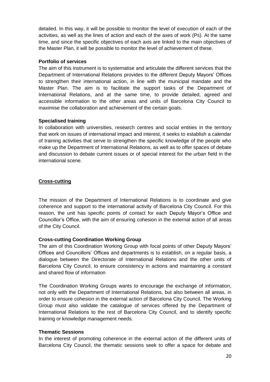detailed. In this way, it will be possible to monitor the level of execution of each of the activities, as well as the lines of action and each of the axes of work (Ps). At the same time, and since the specific objectives of each axis are linked to the main objectives of the Master Plan, it will be possible to monitor the level of achievement of these.

# **Portfolio of services**

The aim of this instrument is to systematise and articulate the different services that the Department of International Relations provides to the different Deputy Mayors' Offices to strengthen their international action, in line with the municipal mandate and the Master Plan. The aim is to facilitate the support tasks of the Department of International Relations, and at the same time, to provide detailed, agreed and accessible information to the other areas and units of Barcelona City Council to maximise the collaboration and achievement of the certain goals.

# **Specialised training**

In collaboration with universities, research centres and social entities in the territory that work on issues of international impact and interest, it seeks to establish a calendar of training activities that serve to strengthen the specific knowledge of the people who make up the Department of International Relations, as well as to offer spaces of debate and discussion to debate current issues or of special interest for the urban field in the international scene.

# **Cross-cutting**

The mission of the Department of International Relations is to coordinate and give coherence and support to the international activity of Barcelona City Council. For this reason, the unit has specific points of contact for each Deputy Mayor's Office and Councillor's Office, with the aim of ensuring cohesion in the external action of all areas of the City Council.

# **Cross-cutting Coordination Working Group**

The aim of this Coordination Working Group with focal points of other Deputy Mayors' Offices and Councillors' Offices and departments is to establish, on a regular basis, a dialogue between the Directorate of International Relations and the other units of Barcelona City Council, to ensure consistency in actions and maintaining a constant and shared flow of information

The Coordination Working Groups wants to encourage the exchange of information, not only with the Department of International Relations, but also between all areas, in order to ensure cohesion in the external action of Barcelona City Council. The Working Group must also validate the catalogue of services offered by the Department of International Relations to the rest of Barcelona City Council, and to identify specific training or knowledge management needs.

#### **Thematic Sessions**

In the interest of promoting coherence in the external action of the different units of Barcelona City Council, the thematic sessions seek to offer a space for debate and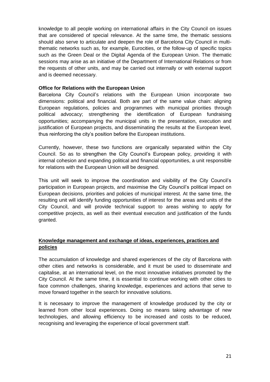knowledge to all people working on international affairs in the City Council on issues that are considered of special relevance. At the same time, the thematic sessions should also serve to articulate and deepen the role of Barcelona City Council in multithematic networks such as, for example, Eurocities, or the follow-up of specific topics such as the Green Deal or the Digital Agenda of the European Union. The thematic sessions may arise as an initiative of the Department of International Relations or from the requests of other units, and may be carried out internally or with external support and is deemed necessary.

### **Office for Relations with the European Union**

Barcelona City Council's relations with the European Union incorporate two dimensions: political and financial. Both are part of the same value chain: aligning European regulations, policies and programmes with municipal priorities through political advocacy; strengthening the identification of European fundraising opportunities; accompanying the municipal units in the presentation, execution and justification of European projects, and disseminating the results at the European level, thus reinforcing the city's position before the European institutions.

Currently, however, these two functions are organically separated within the City Council. So as to strengthen the City Council's European policy, providing it with internal cohesion and expanding political and financial opportunities, a unit responsible for relations with the European Union will be designed.

This unit will seek to improve the coordination and visibility of the City Council's participation in European projects, and maximise the City Council's political impact on European decisions, priorities and policies of municipal interest. At the same time, the resulting unit will identify funding opportunities of interest for the areas and units of the City Council, and will provide technical support to areas wishing to apply for competitive projects, as well as their eventual execution and justification of the funds granted.

# **Knowledge management and exchange of ideas, experiences, practices and policies**

The accumulation of knowledge and shared experiences of the city of Barcelona with other cities and networks is considerable, and it must be used to disseminate and capitalise, at an international level, on the most innovative initiatives promoted by the City Council. At the same time, it is essential to continue working with other cities to face common challenges, sharing knowledge, experiences and actions that serve to move forward together in the search for innovative solutions.

It is necesaary to improve the management of knowledge produced by the city or learned from other local experiences. Doing so means taking advantage of new technologies, and allowing efficiency to be increased and costs to be reduced, recognising and leveraging the experience of local government staff.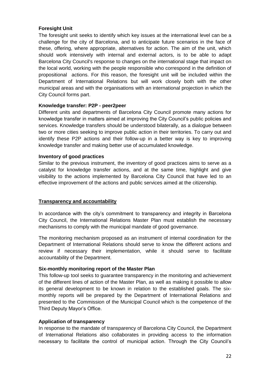# **Foresight Unit**

The foresight unit seeks to identify which key issues at the international level can be a challenge for the city of Barcelona, and to anticipate future scenarios in the face of these, offering, where appropriate, alternatives for action. The aim of the unit, which should work intensively with internal and external actors, is to be able to adapt Barcelona City Council's response to changes on the international stage that impact on the local world, working with the people responsible who correspond in the definition of propositional actions. For this reason, the foresight unit will be included within the Department of International Relations but will work closely both with the other municipal areas and with the organisations with an international projection in which the City Council forms part.

#### **Knowledge transfer: P2P - peer2peer**

Different units and departments of Barcelona City Council promote many actions for knowledge transfer in matters aimed at improving the City Council's public policies and services. Knowledge transfers should be understood bilaterally, as a dialogue between two or more cities seeking to improve public action in their territories. To carry out and identify these P2P actions and their follow-up in a better way is key to improving knowledge transfer and making better use of accumulated knowledge.

#### **Inventory of good practices**

Similar to the previous instrument, the inventory of good practices aims to serve as a catalyst for knowledge transfer actions, and at the same time, highlight and give visibility to the actions implemented by Barcelona City Council that have led to an effective improvement of the actions and public services aimed at the citizenship.

#### **Transparency and accountability**

In accordance with the city's commitment to transparency and integrity in Barcelona City Council, the International Relations Master Plan must establish the necessary mechanisms to comply with the municipal mandate of good governance.

The monitoring mechanism proposed as an instrument of internal coordination for the Department of International Relations should serve to know the different actions and review if necessary their implementation, while it should serve to facilitate accountability of the Department.

#### **Six-monthly monitoring report of the Master Plan**

This follow-up tool seeks to guarantee transparency in the monitoring and achievement of the different lines of action of the Master Plan, as well as making it possible to allow its general development to be known in relation to the established goals. The sixmonthly reports will be prepared by the Department of International Relations and presented to the Commission of the Municipal Council which is the competence of the Third Deputy Mayor's Office.

#### **Application of transparency**

In response to the mandate of transparency of Barcelona City Council, the Department of International Relations also collaborates in providing access to the information necessary to facilitate the control of municipal action. Through the City Council's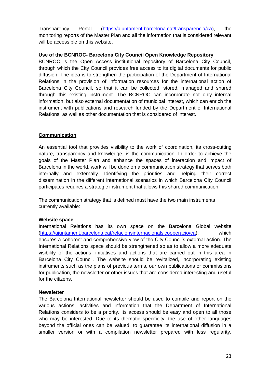Transparency Portal [\(https://ajuntament.barcelona.cat/transparencia/ca\)](https://ajuntament.barcelona.cat/transparencia/ca), the monitoring reports of the Master Plan and all the information that is considered relevant will be accessible on this website.

# **Use of the BCNROC- Barcelona City Council Open Knowledge Repository**

BCNROC is the Open Access institutional repository of Barcelona City Council, through which the City Council provides free access to its digital documents for public diffusion. The idea is to strengthen the participation of the Department of International Relations in the provision of information resources for the international action of Barcelona City Council, so that it can be collected, stored, managed and shared through this existing instrument. The BCNROC can incorporate not only internal information, but also external documentation of municipal interest, which can enrich the instrument with publications and research funded by the Department of International Relations, as well as other documentation that is considered of interest.

# **Communication**

An essential tool that provides visibility to the work of coordination, its cross-cutting nature, transparency and knowledge, is the communication. In order to achieve the goals of the Master Plan and enhance the spaces of interaction and impact of Barcelona in the world, work will be done on a communication strategy that serves both internally and externally. Identifying the priorities and helping their correct dissemination in the different international scenarios in which Barcelona City Council participates requires a strategic instrument that allows this shared communication.

The communication strategy that is defined must have the two main instruments currently available:

#### **Website space**

International Relations has its own space on the Barcelona Global website [\(https://ajuntament.barcelona.cat/relacionsinternacionalsicooperacio/ca\)](https://ajuntament.barcelona.cat/relacionsinternacionalsicooperacio/ca), which ensures a coherent and comprehensive view of the City Council's external action. The International Relations space should be strengthened so as to allow a more adequate visibility of the actions, initiatives and actions that are carried out in this area in Barcelona City Council. The website should be revitalized, incorporating existing instruments such as the plans of previous terms, our own publications or commissions for publication, the newsletter or other issues that are considered interesting and useful for the citizens.

#### **Newsletter**

The Barcelona International newsletter should be used to compile and report on the various actions, activities and information that the Department of International Relations considers to be a priority. Its access should be easy and open to all those who may be interested. Due to its thematic specificity, the use of other languages beyond the official ones can be valued, to guarantee its international diffusion in a smaller version or with a compilation newsletter prepared with less regularity.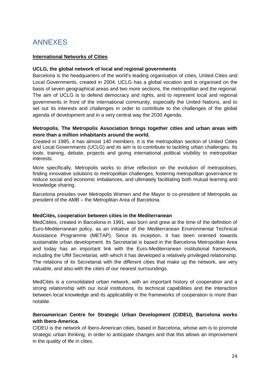# ANNEXES

# **International Networks of Cities**

### **UCLG, the global network of local and regional governments**

Barcelona is the headquarters of the world's leading organisation of cities, United Cities and Local Governments, created in 2004. UCLG has a global vocation and is organised on the basis of seven geographical areas and two more sections, the metropolitan and the regional. The aim of UCLG is to defend democracy and rights, and to represent local and regional governments in front of the international community, especially the United Nations, and to set out its interests and challenges in order to contribute to the challenges of the global agenda of development and in a very central way the 2030 Agenda.

### **Metropolis. The Metropolis Association brings together cities and urban areas with more than a million inhabitants around the world.**

Created in 1985, it has almost 140 members. It is the metropolitan section of United Cities and Local Governments (UCLG) and its aim is to contribute to tackling urban challenges. Its tools: training, debate, projects and giving international political visibility to metropolitan interests.

More specifically, Metropolis works to drive reflection on the evolution of metropolises, finding innovative solutions to metropolitan challenges, fostering metropolitan governance to reduce social and economic imbalances, and ultimately facilitating both mutual learning and knowledge sharing.

Barcelona presides over Metropolis Women and the Mayor is co-president of Metropolis as president of the AMB – the Metroplitan Area of Barcelona.

#### **MedCités, cooperation between cities in the Mediterranean**

MedCitées, created in Barcelona in 1991, was born and grew at the time of the definition of Euro-Mediterranean policy, as an initiative of the Mediterranean Environmental Technical Assistance Programme (METAP). Since its inception, it has been oriented towards sustainable urban development. Its Secretariat is based in the Barcelona Metropolitan Area and today has an important link with the Euro-Mediterranean institutional framework, including the UfM Secretariat, with which it has developed a relatively privileged relationship. The relations of its Secretariat with the different cities that make up the network, are very valuable, and also with the cities of our nearest surroundings.

MedCités is a consolidated urban network, with an important history of cooperation and a strong relationship with our local institutions. Its technical capabilities and the interaction between local knowledge and its applicability in the frameworks of cooperation is more than notable.

# **Iberoamerican Centre for Strategic Urban Development (CIDEU), Barcelona works with Ibero-America.**

CIDEU is the network of Ibero-American cities, based in Barcelona, whose aim is to promote strategic urban thinking, in order to anticipate changes and that this allows an improvement in the quality of life in cities.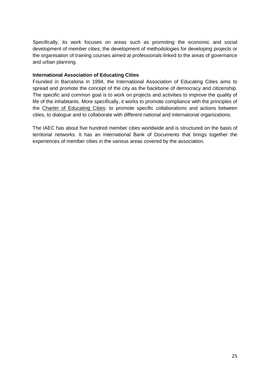Specifically, its work focuses on areas such as promoting the economic and social development of member cities; the development of methodologies for developing projects or the organisation of training courses aimed at professionals linked to the areas of governance and urban planning.

### **International Association of Educating Cities**

Founded in Barcelona in 1994, the International Association of Educating Cities aims to spread and promote the concept of the city as the backbone of democracy and citizenship. The specific and common goal is to work on projects and activities to improve the quality of life of the inhabitants. More specifically, it works to promote compliance with the principles of the Charter of Educating Cities: to promote specific collaborations and actions between cities, to dialogue and to collaborate with different national and international organizations.

The IAEC has about five hundred member cities worldwide and is structured on the basis of territorial networks. It has an International Bank of Documents that brings together the experiences of member cities in the various areas covered by the association.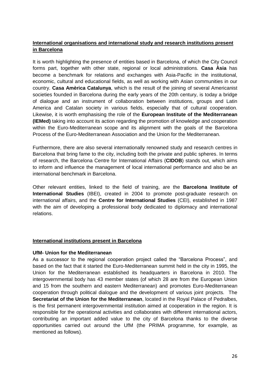# **International organisations and international study and research institutions present in Barcelona**

It is worth highlighting the presence of entities based in Barcelona, of which the City Council forms part, together with other state, regional or local administrations. **Casa Àsia** has become a benchmark for relations and exchanges with Asia-Pacific in the institutional, economic, cultural and educational fields, as well as working with Asian communities in our country. **Casa Amèrica Catalunya**, which is the result of the joining of several Americanist societies founded in Barcelona during the early years of the 20th century, is today a bridge of dialogue and an instrument of collaboration between institutions, groups and Latin America and Catalan society in various fields, especially that of cultural cooperation. Likewise, it is worth emphasising the role of the **European Institute of the Mediterranean (IEMed)** taking into account its action regarding the promotion of knowledge and cooperation within the Euro-Mediterranean scope and its alignment with the goals of the Barcelona Process of the Euro-Mediterranean Association and the Union for the Mediterranean.

Furthermore, there are also several internationally renowned study and research centres in Barcelona that bring fame to the city, including both the private and public spheres. In terms of research, the Barcelona Centre for International Affairs (**CIDOB**) stands out, which aims to inform and influence the management of local international performance and also be an international benchmark in Barcelona.

Other relevant entities, linked to the field of training, are the **Barcelona Institute of International Studies** (IBEI), created in 2004 to promote post-graduate research on international affairs, and the **Centre for International Studies** (CEI), established in 1987 with the aim of developing a professional body dedicated to diplomacy and international relations.

#### **International institutions present in Barcelona**

#### **UfM- Union for the Mediterranean**

As a successor to the regional cooperation project called the "Barcelona Process", and based on the fact that it started the Euro-Mediterranean summit held in the city in 1995, the Union for the Mediterranean established its headquarters in Barcelona in 2010. The intergovernmental body has 43 member states (of which 28 are from the European Union and 15 from the southern and eastern Mediterranean) and promotes Euro-Mediterranean cooperation through political dialogue and the development of various joint projects. The **Secretariat of the Union for the Mediterranean**, located in the Royal Palace of Pedralbes, is the first permanent intergovernmental institution aimed at cooperation in the region. It is responsible for the operational activities and collaborates with different international actors, contributing an important added value to the city of Barcelona thanks to the diverse opportunities carried out around the UfM (the PRIMA programme, for example, as mentioned as follows).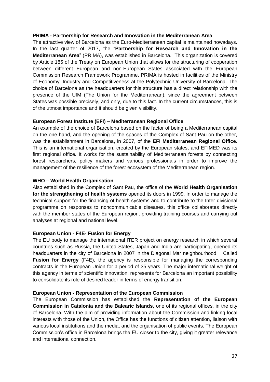#### **PRIMA - Partnership for Research and Innovation in the Mediterranean Area**

The attractive view of Barcelona as the Euro-Mediterranean capital is maintained nowadays. In the last quarter of 2017, the "**Partnership for Research and Innovation in the Mediterranean Area**" (PRIMA), was established in Barcelona. This organization is covered by Article 185 of the Treaty on European Union that allows for the structuring of cooperation between different European and non-European States associated with the European Commission Research Framework Programme. PRIMA is hosted in facilities of the Ministry of Economy, Industry and Competitiveness at the Polytechnic University of Barcelona. The choice of Barcelona as the headquarters for this structure has a direct relationship with the presence of the UfM (The Union for the Mediterranean), since the agreement between States was possible precisely, and only, due to this fact. In the current circumstances, this is of the utmost importance and it should be given visibility.

#### **European Forest Institute (EFI) – Mediterranean Regional Office**

An example of the choice of Barcelona based on the factor of being a Mediterranean capital on the one hand, and the opening of the spaces of the Complex of Sant Pau on the other, was the establishment in Barcelona, in 2007, of the **EFI Mediterranean Regional Office**. This is an international organisation, created by the European states, and EFIMED was its first regional office. It works for the sustainability of Mediterranean forests by connecting forest researchers, policy makers and various professionals in order to improve the management of the resilience of the forest ecosystem of the Mediterranean region.

#### **WHO – World Health Organisation**

Also established in the Complex of Sant Pau, the office of the **World Health Organisation for the strengthening of health systems** opened its doors in 1999. In order to manage the technical support for the financing of health systems and to contribute to the Inter-divisional programme on responses to noncommunicable diseases, this office collaborates directly with the member states of the European region, providing training courses and carrying out analyses at regional and national level.

#### **European Union - F4E- Fusion for Energy**

The EU body to manage the international ITER project on energy research in which several countries such as Russia, the United States, Japan and India are participating, opened its headquarters in the city of Barcelona in 2007 in the Diagonal Mar neighbourhood. Called **Fusion for Energy** (F4E), the agency is responsible for managing the corresponding contracts in the European Union for a period of 35 years. The major international weight of this agency in terms of scientific innovation, represents for Barcelona an important possibility to consolidate its role of desired leader in terms of energy transition.

#### **European Union - Representation of the European Commission**

The European Commission has established the **Representation of the European Commission in Catalonia and the Balearic Islands**, one of its regional offices, in the city of Barcelona. With the aim of providing information about the Commission and linking local interests with those of the Union, the Office has the functions of citizen attention, liaison with various local institutions and the media, and the organisation of public events. The European Commission's office in Barcelona brings the EU closer to the city, giving it greater relevance and international connection.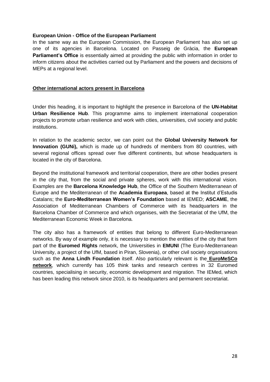#### **European Union - Office of the European Parliament**

In the same way as the European Commission, the European Parliament has also set up one of its agencies in Barcelona. Located on Passeig de Gràcia, the **European Parliament's Office** is essentially aimed at providing the public with information in order to inform citizens about the activities carried out by Parliament and the powers and decisions of MEPs at a regional level.

# **Other international actors present in Barcelona**

Under this heading, it is important to highlight the presence in Barcelona of the **UN-Habitat Urban Resilience Hub**. This programme aims to implement international cooperation projects to promote urban resilience and work with cities, universities, civil society and public institutions.

In relation to the academic sector, we can point out the **Global University Network for Innovation (GUNi),** which is made up of hundreds of members from 80 countries, with several regional offices spread over five different continents, but whose headquarters is located in the city of Barcelona.

Beyond the institutional framework and territorial cooperation, there are other bodies present in the city that, from the social and private spheres, work with this international vision. Examples are the **Barcelona Knowledge Hub**, the Office of the Southern Mediterranean of Europe and the Mediterranean of the **Academia Europaea**, based at the Institut d'Estudis Catalans; the **Euro-Mediterranean Women's Foundation** based at IEMED; **ASCAME**, the Association of Mediterranean Chambers of Commerce with its headquarters in the Barcelona Chamber of Commerce and which organises, with the Secretariat of the UfM, the Mediterranean Economic Week in Barcelona.

The city also has a framework of entities that belong to different Euro-Mediterranean networks. By way of example only, it is necessary to mention the entities of the city that form part of the **Euromed Rights** network, the Universities in **EMUNI** (The Euro-Mediterranean University, a project of the UfM, based in Piran, Slovenia), or other civil society organisations such as the **Anna Lindh Foundation** itself. Also particularly relevant is the **EuroMeSCo network**, which currently has 105 think tanks and research centres in 32 Euromed countries, specialising in security, economic development and migration. The IEMed, which has been leading this network since 2010, is its headquarters and permanent secretariat.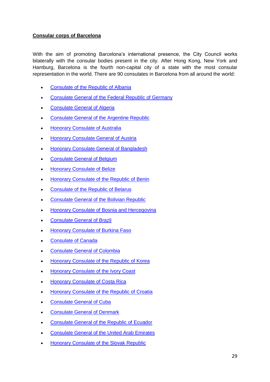# **Consular corps of Barcelona**

With the aim of promoting Barcelona's international presence, the City Council works bilaterally with the consular bodies present in the city. After Hong Kong, New York and Hamburg, Barcelona is the fourth non-capital city of a state with the most consular representation in the world. There are 90 consulates in Barcelona from all around the world:

- Consulate [of the Republic of Albania](http://sac.gencat.cat/sacgencat/AppJava/organisme_fitxa.jsp?codi=2015396)
- Consulate [General of the Federal Republic of Germany](http://sac.gencat.cat/sacgencat/AppJava/organisme_fitxa.jsp?codi=2000807)
- Consulate [General of Algeria](http://sac.gencat.cat/sacgencat/AppJava/organisme_fitxa.jsp?codi=2015606)
- **Consulate [General of the Argentine Republic](http://sac.gencat.cat/sacgencat/AppJava/organisme_fitxa.jsp?codi=2000809)**
- **[Honorary Consulate of Australia](http://sac.gencat.cat/sacgencat/AppJava/organisme_fitxa.jsp?codi=2015607)**
- [Honorary Consulate](http://sac.gencat.cat/sacgencat/AppJava/organisme_fitxa.jsp?codi=2000811) General of Austria
- Honorary Consulate [General of Bangladesh](http://sac.gencat.cat/sacgencat/AppJava/organisme_fitxa.jsp?codi=2000812)
- Consulate [General of Belgium](http://sac.gencat.cat/sacgencat/AppJava/organisme_fitxa.jsp?codi=2000813)
- [Honorary Consulate](http://sac.gencat.cat/sacgencat/AppJava/organisme_fitxa.jsp?codi=2000814) of Belize
- [Honorary Consulate](http://sac.gencat.cat/sacgencat/AppJava/organisme_fitxa.jsp?codi=2000815) of the Republic of Benin
- Consulate [of the Republic of Belarus](http://sac.gencat.cat/sacgencat/AppJava/organisme_fitxa.jsp?codi=2015608)
- Consulate [General of the Bolivian Republic](http://sac.gencat.cat/sacgencat/AppJava/organisme_fitxa.jsp?codi=2000816)
- **[Honorary Consulate](http://sac.gencat.cat/sacgencat/AppJava/organisme_fitxa.jsp?codi=2008590) of Bosnia and Hercegovina**
- Consulate [General of](http://sac.gencat.cat/sacgencat/AppJava/organisme_fitxa.jsp?codi=2000817) Brazil
- [Honorary Consulate](http://sac.gencat.cat/sacgencat/AppJava/organisme_fitxa.jsp?codi=2015587) of Burkina Faso
- [Consulate](http://sac.gencat.cat/sacgencat/AppJava/organisme_fitxa.jsp?codi=2009011) of Canada
- Consulate [General of Colombia](http://sac.gencat.cat/sacgencat/AppJava/organisme_fitxa.jsp?codi=2000819)
- Honorary Consulate [of the Republic of Korea](http://sac.gencat.cat/sacgencat/AppJava/organisme_fitxa.jsp?codi=2000820)
- **[Honorary Consulate](http://sac.gencat.cat/sacgencat/AppJava/organisme_fitxa.jsp?codi=2007098) of the Ivory Coast**
- **[Honorary Consulate](http://sac.gencat.cat/sacgencat/AppJava/organisme_fitxa.jsp?codi=2000822) of Costa Rica**
- [Honorary Consulate of the Republic of Croatia](http://sac.gencat.cat/sacgencat/AppJava/organisme_fitxa.jsp?codi=2011252)
- Consulate [General of](http://sac.gencat.cat/sacgencat/AppJava/organisme_fitxa.jsp?codi=2000823) Cuba
- Consulate [General of Denmark](http://sac.gencat.cat/sacgencat/AppJava/organisme_fitxa.jsp?codi=2000824)
- Consulate [General of the Republic of Ecuador](http://sac.gencat.cat/sacgencat/AppJava/organisme_fitxa.jsp?codi=2000826)
- Consulate [General of the United Arab Emirates](http://sac.gencat.cat/sacgencat/AppJava/organisme_fitxa.jsp?codi=2015610)
- Honorary Consulate [of the Slovak Republic](http://sac.gencat.cat/sacgencat/AppJava/organisme_fitxa.jsp?codi=2000827)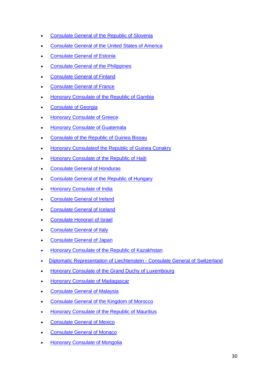- Consulate [General of the Republic of Slovenia](http://sac.gencat.cat/sacgencat/AppJava/organisme_fitxa.jsp?codi=2000828)
- Consulate [General of the United States of America](http://sac.gencat.cat/sacgencat/AppJava/organisme_fitxa.jsp?codi=2000829)
- **Consulate [General of Estonia](http://sac.gencat.cat/sacgencat/AppJava/organisme_fitxa.jsp?codi=2010063)**
- **Consulate [General of the Philippines](http://sac.gencat.cat/sacgencat/AppJava/organisme_fitxa.jsp?codi=2000831)**
- Consulate [General of Finland](http://sac.gencat.cat/sacgencat/AppJava/organisme_fitxa.jsp?codi=2000832)
- Consulate [General of France](http://sac.gencat.cat/sacgencat/AppJava/organisme_fitxa.jsp?codi=2000833)
- **Honorary Consulate [of the Republic of Gambia](http://sac.gencat.cat/sacgencat/AppJava/organisme_fitxa.jsp?codi=2000835)**
- Consulate [of Georgia](http://sac.gencat.cat/sacgencat/AppJava/organisme_fitxa.jsp?codi=2015611)
- **[Honorary Consulate](http://sac.gencat.cat/sacgencat/AppJava/organisme_fitxa.jsp?codi=2002956) of Greece**
- **[Honorary Consulate](http://sac.gencat.cat/sacgencat/AppJava/organisme_fitxa.jsp?codi=2000836) of Guatemala**
- Consulate [of the Republic of](http://sac.gencat.cat/sacgencat/AppJava/organisme_fitxa.jsp?codi=2011956) Guinea Bissau
- **Honorary [Consulateof the Republic of](http://sac.gencat.cat/sacgencat/AppJava/organisme_fitxa.jsp?codi=2007100) Guinea Conakry**
- **Honorary Consulate [of the Republic of Haiti](http://sac.gencat.cat/sacgencat/AppJava/organisme_fitxa.jsp?codi=2007101)**
- Consulate [General of Honduras](http://sac.gencat.cat/sacgencat/AppJava/organisme_fitxa.jsp?codi=2011010)
- Consulate [General of the Republic of Hungary](http://sac.gencat.cat/sacgencat/AppJava/organisme_fitxa.jsp?codi=2000839)
- [Honorary Consulate](http://sac.gencat.cat/sacgencat/AppJava/organisme_fitxa.jsp?codi=2000841) of India
- Consulate [General of Ireland](http://sac.gencat.cat/sacgencat/AppJava/organisme_fitxa.jsp?codi=2000843)
- Consulate [General of Iceland](http://sac.gencat.cat/sacgencat/AppJava/organisme_fitxa.jsp?codi=2000844)
- Consulate [Honorari of Israel](http://sac.gencat.cat/sacgencat/AppJava/organisme_fitxa.jsp?codi=2015673)
- Consulate [General of Italy](http://sac.gencat.cat/sacgencat/AppJava/organisme_fitxa.jsp?codi=2000846)
- Consulate [General of Japan](http://sac.gencat.cat/sacgencat/AppJava/organisme_fitxa.jsp?codi=2000848)
- [Honorary Consulate](http://sac.gencat.cat/sacgencat/AppJava/organisme_fitxa.jsp?codi=2010751) of the Republic of Kazakhstan
- Diplomatic Representation of Liechtenstein Consulate General of Switzerland
- [Honorary Consulate of the Grand Duchy of](http://sac.gencat.cat/sacgencat/AppJava/organisme_fitxa.jsp?codi=2000851) Luxembourg
- [Honorary Consulate](http://sac.gencat.cat/sacgencat/AppJava/organisme_fitxa.jsp?codi=2000852) of Madagascar
- Consulate [General of Malaysia](http://sac.gencat.cat/sacgencat/AppJava/organisme_fitxa.jsp?codi=2000853)
- Consulate [General of the Kingdom of Morocco](http://sac.gencat.cat/sacgencat/AppJava/organisme_fitxa.jsp?codi=2000854)
- Honorary Consulate [of the Republic of Mauritius](http://sac.gencat.cat/sacgencat/AppJava/organisme_fitxa.jsp?codi=2000855)
- Consulate [General of Mexico](http://sac.gencat.cat/sacgencat/AppJava/organisme_fitxa.jsp?codi=2000856)
- Consulate [General of](http://sac.gencat.cat/sacgencat/AppJava/organisme_fitxa.jsp?codi=2000857) Monaco
- [Honorary Consulate](http://sac.gencat.cat/sacgencat/AppJava/organisme_fitxa.jsp?codi=2011329) of Mongolia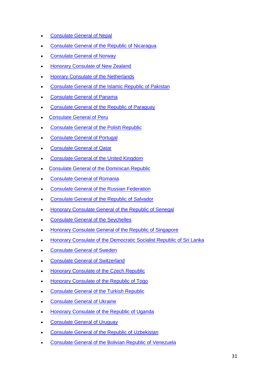- Consulate [General of](http://sac.gencat.cat/sacgencat/AppJava/organisme_fitxa.jsp?codi=2000858) Nepal
- Consulate [General of the Republic of](http://sac.gencat.cat/sacgencat/AppJava/organisme_fitxa.jsp?codi=2000859) Nicaragua
- Consulate [General of Norway](http://sac.gencat.cat/sacgencat/AppJava/organisme_fitxa.jsp?codi=2000860)
- [Honorary Consulate of New Zealand](http://sac.gencat.cat/sacgencat/AppJava/organisme_fitxa.jsp?codi=2000861)
- [Honrary Consulate](http://sac.gencat.cat/sacgencat/AppJava/organisme_fitxa.jsp?codi=2000862) of the Netherlands
- Consulate [General of the Islamic Republic of Pakistan](http://sac.gencat.cat/sacgencat/AppJava/organisme_fitxa.jsp?codi=2000863)
- Consulate [General of](http://sac.gencat.cat/sacgencat/AppJava/organisme_fitxa.jsp?codi=2000864) Panama
- Consulate [General of the Republic of Paraguay](http://sac.gencat.cat/sacgencat/AppJava/organisme_fitxa.jsp?codi=2000865)
- Consulate [General of](http://sac.gencat.cat/sacgencat/AppJava/organisme_fitxa.jsp?codi=2000866) Peru
- Consulate [General of the Polish Republic](http://sac.gencat.cat/sacgencat/AppJava/organisme_fitxa.jsp?codi=2000868)
- Consulate [General of](http://sac.gencat.cat/sacgencat/AppJava/organisme_fitxa.jsp?codi=2000867) Portugal
- Consulate [General of](http://sac.gencat.cat/sacgencat/AppJava/organisme_fitxa.jsp?codi=2015846) Qatar
- Consulate [General of the United Kingdom](http://sac.gencat.cat/sacgencat/AppJava/organisme_fitxa.jsp?codi=2000869)
- **Consulate [General of the Dominican Republic](http://sac.gencat.cat/sacgencat/AppJava/organisme_fitxa.jsp?codi=2000825)**
- Consulate [General of Romania](http://sac.gencat.cat/sacgencat/AppJava/organisme_fitxa.jsp?codi=2011260)
- **Consulate [General of the Russian Federation](http://sac.gencat.cat/sacgencat/AppJava/organisme_fitxa.jsp?codi=2000830)**
- Consulate [General of the Republic of](http://sac.gencat.cat/sacgencat/AppJava/organisme_fitxa.jsp?codi=2015614) Salvador
- Honorary Consulate [General of the Republic of](http://sac.gencat.cat/sacgencat/AppJava/organisme_fitxa.jsp?codi=2000871) Senegal
- **Consulate [General of the](http://sac.gencat.cat/sacgencat/AppJava/organisme_fitxa.jsp?codi=2000840) Seychelles**
- **Honorary Consulate [General of the Republic of Singapore](http://sac.gencat.cat/sacgencat/AppJava/organisme_fitxa.jsp?codi=2011955)**
- [Honorary Consulate of the Democratic Socialist Republic of](http://sac.gencat.cat/sacgencat/AppJava/organisme_fitxa.jsp?codi=2000874) Sri Lanka
- **Consulate [General of Sweden](http://sac.gencat.cat/sacgencat/AppJava/organisme_fitxa.jsp?codi=2000875)**
- Consulate [General of Switzerland](http://sac.gencat.cat/sacgencat/AppJava/organisme_fitxa.jsp?codi=2000876)
- Honorary Consulate [of the Czech Republic](http://sac.gencat.cat/sacgencat/AppJava/organisme_fitxa.jsp?codi=2011784)
- [Honorary Consulate](http://sac.gencat.cat/sacgencat/AppJava/organisme_fitxa.jsp?codi=2000878) of the Republic of Togo
- Consulate [General of the Turkish Republic](http://sac.gencat.cat/sacgencat/AppJava/organisme_fitxa.jsp?codi=2000880)
- Consulate [General of Ukraine](http://sac.gencat.cat/sacgencat/AppJava/organisme_fitxa.jsp?codi=2011373)
- Honorary Consulate [of the Republic of Uganda](http://sac.gencat.cat/sacgencat/AppJava/organisme_fitxa.jsp?codi=2000870)
- Consulate [General of Uruguay](http://sac.gencat.cat/sacgencat/AppJava/organisme_fitxa.jsp?codi=2000883)
- Consulate [General of the Republic of](http://sac.gencat.cat/sacgencat/AppJava/organisme_fitxa.jsp?codi=2011374) Uzbekistan
- Consulate [General of the Bolivian Republic of Venezuela](http://sac.gencat.cat/sacgencat/AppJava/organisme_fitxa.jsp?codi=2000884)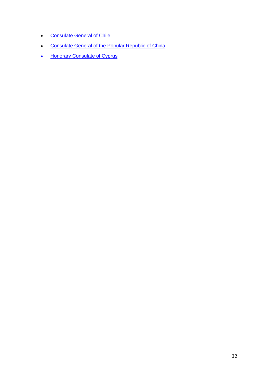- **Consulate [General of Chile](http://sac.gencat.cat/sacgencat/AppJava/organisme_fitxa.jsp?codi=2000885)**
- **•** Consulate [General of the Popular Republic of China](http://sac.gencat.cat/sacgencat/AppJava/organisme_fitxa.jsp?codi=2000886)
- [Honorary Consulate](http://sac.gencat.cat/sacgencat/AppJava/organisme_fitxa.jsp?codi=2015015) of Cyprus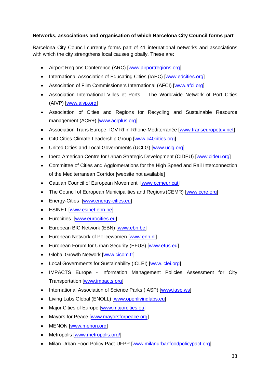# **Networks, associations and organisation of which Barcelona City Council forms part**

Barcelona City Council currently forms part of 41 international networks and associations with which the city strengthens local causes globally. These are:

- Airport Regions Conference (ARC) [\[www.airportregions.org\]](http://www.airportregions.org/)
- International Association of Educating Cities (IAEC) [\[www.edcities.org\]](http://www.edcities.org/)
- Association of Film Commissioners International (AFCI) [\[www.afci.org\]](http://www.afci.org/)
- Association International Villes et Ports The Worldwide Network of Port Cities (AIVP) [\[www.aivp.org\]](http://www.aivp.org/)
- Association of Cities and Regions for Recycling and Sustainable Resource management (ACR+) [\[www.acrplus.org\]](http://www.acrplus.org/)
- Association Trans Europe TGV Rhin-Rhone-Mediterranée [\[www.transeuropetgv.net\]](http://www.transeuropetgv.net/)
- C40 Cities Climate Leadership Group [\[www.c40cities.org\]](http://www.c40cities.org/)
- United Cities and Local Governments (UCLG) [\[www.uclg.org\]](http://www.uclg.org/)
- Ibero-American Centre for Urban Strategic Development (CIDEU) [\[www.cideu.org\]](http://www.cideu.org/)
- Committee of Cities and Agglomerations for the High Speed and Rail Interconnection of the Mediterranean Corridor [website not available]
- Catalan Council of European Movement [\[www.ccmeur.cat\]](http://www.ccmeur.cat/)
- The Council of European Municipalities and Regions (CEMR) [\[www.ccre.org\]](http://www.ccre.org/)
- Energy-Cities [\[www.energy-cities.eu\]](http://www.energy-cities.eu/)
- ESINET [\[www.esinet.ebn.be\]](http://www.esinet.ebn.be/)
- **Eurocities** [\[www.eurocities.eu\]](http://www.eurocities.eu/)
- European BIC Network (EBN) [\[www.ebn.be\]](http://www.ebn.be/)
- European Network of Policewomen [\[www.enp.nl\]](http://www.enp.nl/)
- European Forum for Urban Security (EFUS) [\[www.efus.eu\]](http://www.efus.eu/)
- Global Growth Network [\[www.cicom.fr\]](http://www.cicom.fr/)
- Local Governments for Sustainability (ICLEI) [\[www.iclei.org\]](http://www.iclei.org/)
- IMPACTS Europe Information Management Policies Assessment for City Transportation [\[www.impacts.org\]](http://www.impacts.org/)
- International Association of Science Parks (IASP) [\[www.iasp.ws\]](http://www.iasp.ws/)
- Living Labs Global (ENOLL) [\[www.openlivinglabs.eu\]](http://www.openlivinglabs.eu/)
- Major Cities of Europe [\[www.majorcities.eu\]](http://www.majorcities.eu/)
- Mayors for Peace [\[www.mayorsforpeace.org\]](http://www.mayorsforpeace.org/)
- MENON [\[www.menon.org\]](http://www.menon.org/)
- Metropolis [\[www.metropolis.org/\]](http://www.metropolis.org/)
- Milan Urban Food Policy Pact-UFPP [\[www.milanurbanfoodpolicypact.org\]](http://www.milanurbanfoodpolicypact.org/)